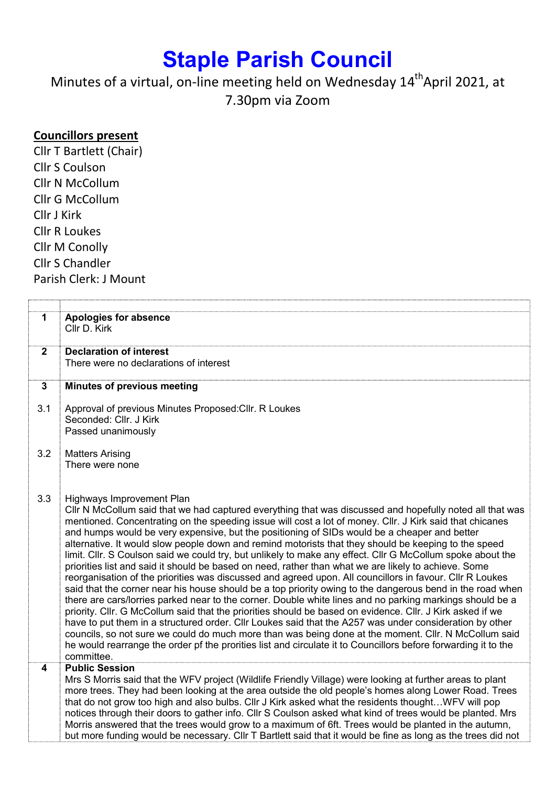## Staple Parish Council

Minutes of a virtual, on-line meeting held on Wednesday 14<sup>th</sup>April 2021, at 7.30pm via Zoom

## Councillors present

Cllr T Bartlett (Chair) Cllr S Coulson Cllr N McCollum Cllr G McCollum Cllr J Kirk Cllr R Loukes Cllr M Conolly Cllr S Chandler Parish Clerk: J Mount

| 1<br>Apologies for absence<br>Cllr D. Kirk<br>$\overline{2}$<br><b>Declaration of interest</b>                                                                                                                    |  |
|-------------------------------------------------------------------------------------------------------------------------------------------------------------------------------------------------------------------|--|
|                                                                                                                                                                                                                   |  |
|                                                                                                                                                                                                                   |  |
| There were no declarations of interest                                                                                                                                                                            |  |
| <b>Minutes of previous meeting</b><br>$\mathbf 3$                                                                                                                                                                 |  |
| 3.1<br>Approval of previous Minutes Proposed: Cllr. R Loukes                                                                                                                                                      |  |
| Seconded: Cllr. J Kirk                                                                                                                                                                                            |  |
| Passed unanimously                                                                                                                                                                                                |  |
| 3.2<br><b>Matters Arising</b>                                                                                                                                                                                     |  |
| There were none                                                                                                                                                                                                   |  |
|                                                                                                                                                                                                                   |  |
|                                                                                                                                                                                                                   |  |
| 3.3<br>Highways Improvement Plan                                                                                                                                                                                  |  |
| CIIr N McCollum said that we had captured everything that was discussed and hopefully noted all that was                                                                                                          |  |
| mentioned. Concentrating on the speeding issue will cost a lot of money. Cllr. J Kirk said that chicanes<br>and humps would be very expensive, but the positioning of SIDs would be a cheaper and better          |  |
| alternative. It would slow people down and remind motorists that they should be keeping to the speed                                                                                                              |  |
| limit. Cllr. S Coulson said we could try, but unlikely to make any effect. Cllr G McCollum spoke about the                                                                                                        |  |
| priorities list and said it should be based on need, rather than what we are likely to achieve. Some                                                                                                              |  |
| reorganisation of the priorities was discussed and agreed upon. All councillors in favour. Cllr R Loukes                                                                                                          |  |
| said that the corner near his house should be a top priority owing to the dangerous bend in the road when                                                                                                         |  |
| there are cars/lorries parked near to the corner. Double white lines and no parking markings should be a                                                                                                          |  |
| priority. Cllr. G McCollum said that the priorities should be based on evidence. Cllr. J Kirk asked if we                                                                                                         |  |
| have to put them in a structured order. Cllr Loukes said that the A257 was under consideration by other<br>councils, so not sure we could do much more than was being done at the moment. Cllr. N McCollum said   |  |
| he would rearrange the order pf the prorities list and circulate it to Councillors before forwarding it to the                                                                                                    |  |
| committee.                                                                                                                                                                                                        |  |
| <b>Public Session</b><br>4                                                                                                                                                                                        |  |
| Mrs S Morris said that the WFV project (Wildlife Friendly Village) were looking at further areas to plant                                                                                                         |  |
| more trees. They had been looking at the area outside the old people's homes along Lower Road. Trees                                                                                                              |  |
| that do not grow too high and also bulbs. Cllr J Kirk asked what the residents thoughtWFV will pop                                                                                                                |  |
| notices through their doors to gather info. Cllr S Coulson asked what kind of trees would be planted. Mrs<br>Morris answered that the trees would grow to a maximum of 6ft. Trees would be planted in the autumn, |  |
| but more funding would be necessary. Cllr T Bartlett said that it would be fine as long as the trees did not                                                                                                      |  |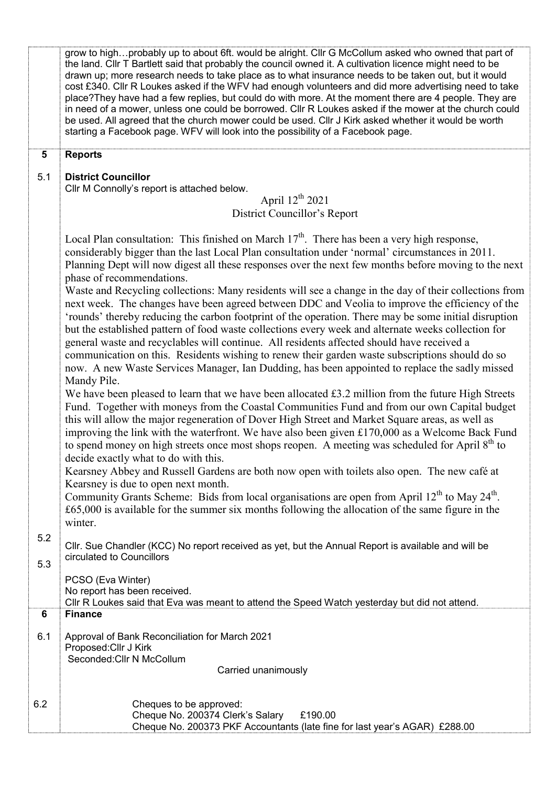|                | grow to highprobably up to about 6ft. would be alright. Cllr G McCollum asked who owned that part of<br>the land. Cllr T Bartlett said that probably the council owned it. A cultivation licence might need to be<br>drawn up; more research needs to take place as to what insurance needs to be taken out, but it would<br>cost £340. Cllr R Loukes asked if the WFV had enough volunteers and did more advertising need to take<br>place? They have had a few replies, but could do with more. At the moment there are 4 people. They are<br>in need of a mower, unless one could be borrowed. Cllr R Loukes asked if the mower at the church could<br>be used. All agreed that the church mower could be used. Cllr J Kirk asked whether it would be worth<br>starting a Facebook page. WFV will look into the possibility of a Facebook page. |  |  |  |
|----------------|----------------------------------------------------------------------------------------------------------------------------------------------------------------------------------------------------------------------------------------------------------------------------------------------------------------------------------------------------------------------------------------------------------------------------------------------------------------------------------------------------------------------------------------------------------------------------------------------------------------------------------------------------------------------------------------------------------------------------------------------------------------------------------------------------------------------------------------------------|--|--|--|
| $5\phantom{1}$ | <b>Reports</b>                                                                                                                                                                                                                                                                                                                                                                                                                                                                                                                                                                                                                                                                                                                                                                                                                                     |  |  |  |
| 5.1            | <b>District Councillor</b><br>Cllr M Connolly's report is attached below.                                                                                                                                                                                                                                                                                                                                                                                                                                                                                                                                                                                                                                                                                                                                                                          |  |  |  |
|                | April $12^{th}$ 2021                                                                                                                                                                                                                                                                                                                                                                                                                                                                                                                                                                                                                                                                                                                                                                                                                               |  |  |  |
|                | District Councillor's Report                                                                                                                                                                                                                                                                                                                                                                                                                                                                                                                                                                                                                                                                                                                                                                                                                       |  |  |  |
|                | Local Plan consultation: This finished on March $17th$ . There has been a very high response,<br>considerably bigger than the last Local Plan consultation under 'normal' circumstances in 2011.<br>Planning Dept will now digest all these responses over the next few months before moving to the next<br>phase of recommendations.<br>Waste and Recycling collections: Many residents will see a change in the day of their collections from                                                                                                                                                                                                                                                                                                                                                                                                    |  |  |  |
|                | next week. The changes have been agreed between DDC and Veolia to improve the efficiency of the<br>'rounds' thereby reducing the carbon footprint of the operation. There may be some initial disruption<br>but the established pattern of food waste collections every week and alternate weeks collection for                                                                                                                                                                                                                                                                                                                                                                                                                                                                                                                                    |  |  |  |
|                | general waste and recyclables will continue. All residents affected should have received a<br>communication on this. Residents wishing to renew their garden waste subscriptions should do so<br>now. A new Waste Services Manager, Ian Dudding, has been appointed to replace the sadly missed<br>Mandy Pile.                                                                                                                                                                                                                                                                                                                                                                                                                                                                                                                                     |  |  |  |
|                | We have been pleased to learn that we have been allocated $£3.2$ million from the future High Streets<br>Fund. Together with moneys from the Coastal Communities Fund and from our own Capital budget<br>this will allow the major regeneration of Dover High Street and Market Square areas, as well as<br>improving the link with the waterfront. We have also been given £170,000 as a Welcome Back Fund<br>to spend money on high streets once most shops reopen. A meeting was scheduled for April 8 <sup>th</sup> to<br>decide exactly what to do with this.                                                                                                                                                                                                                                                                                 |  |  |  |
|                | Kearsney Abbey and Russell Gardens are both now open with toilets also open. The new café at<br>Kearsney is due to open next month.<br>Community Grants Scheme: Bids from local organisations are open from April 12 <sup>th</sup> to May 24 <sup>th</sup> .<br>$£65,000$ is available for the summer six months following the allocation of the same figure in the                                                                                                                                                                                                                                                                                                                                                                                                                                                                                |  |  |  |
|                | winter.                                                                                                                                                                                                                                                                                                                                                                                                                                                                                                                                                                                                                                                                                                                                                                                                                                            |  |  |  |
| 5.2<br>5.3     | Cllr. Sue Chandler (KCC) No report received as yet, but the Annual Report is available and will be<br>circulated to Councillors                                                                                                                                                                                                                                                                                                                                                                                                                                                                                                                                                                                                                                                                                                                    |  |  |  |
|                | PCSO (Eva Winter)<br>No report has been received.<br>CIIr R Loukes said that Eva was meant to attend the Speed Watch yesterday but did not attend.                                                                                                                                                                                                                                                                                                                                                                                                                                                                                                                                                                                                                                                                                                 |  |  |  |
| 6              | <b>Finance</b>                                                                                                                                                                                                                                                                                                                                                                                                                                                                                                                                                                                                                                                                                                                                                                                                                                     |  |  |  |
| 6.1            | Approval of Bank Reconciliation for March 2021<br>Proposed: Cllr J Kirk<br>Seconded: Cllr N McCollum<br>Carried unanimously                                                                                                                                                                                                                                                                                                                                                                                                                                                                                                                                                                                                                                                                                                                        |  |  |  |
|                |                                                                                                                                                                                                                                                                                                                                                                                                                                                                                                                                                                                                                                                                                                                                                                                                                                                    |  |  |  |
| 6.2            | Cheques to be approved:<br>Cheque No. 200374 Clerk's Salary<br>£190.00<br>Cheque No. 200373 PKF Accountants (late fine for last year's AGAR) £288.00                                                                                                                                                                                                                                                                                                                                                                                                                                                                                                                                                                                                                                                                                               |  |  |  |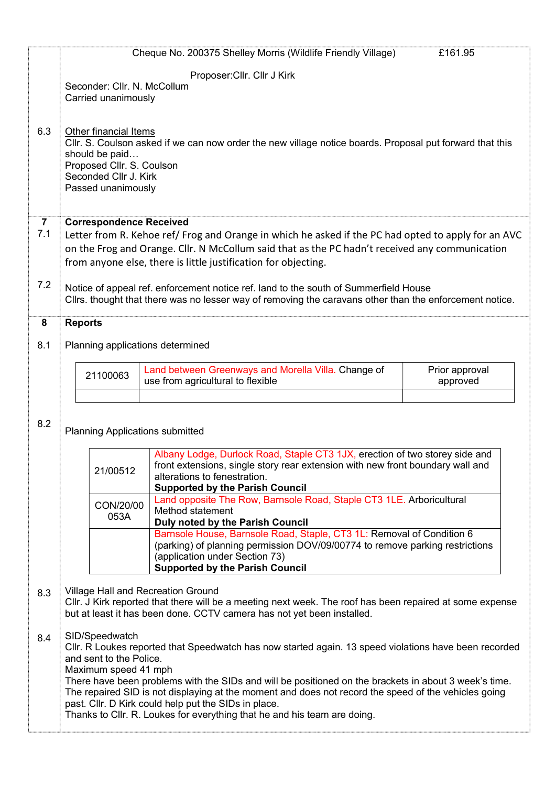|                                                    | Cheque No. 200375 Shelley Morris (Wildlife Friendly Village)                                                                                                                                                  | £161.95                    |  |  |
|----------------------------------------------------|---------------------------------------------------------------------------------------------------------------------------------------------------------------------------------------------------------------|----------------------------|--|--|
|                                                    | Proposer: Cllr. Cllr J Kirk                                                                                                                                                                                   |                            |  |  |
|                                                    | Seconder: Cllr. N. McCollum                                                                                                                                                                                   |                            |  |  |
| Carried unanimously                                |                                                                                                                                                                                                               |                            |  |  |
|                                                    |                                                                                                                                                                                                               |                            |  |  |
| 6.3<br>Other financial Items                       | Cllr. S. Coulson asked if we can now order the new village notice boards. Proposal put forward that this                                                                                                      |                            |  |  |
| should be paid                                     |                                                                                                                                                                                                               |                            |  |  |
| Proposed Cllr. S. Coulson<br>Seconded Cllr J. Kirk |                                                                                                                                                                                                               |                            |  |  |
| Passed unanimously                                 |                                                                                                                                                                                                               |                            |  |  |
|                                                    |                                                                                                                                                                                                               |                            |  |  |
| $\overline{7}$                                     | <b>Correspondence Received</b>                                                                                                                                                                                |                            |  |  |
| 7.1                                                | Letter from R. Kehoe ref/Frog and Orange in which he asked if the PC had opted to apply for an AVC<br>on the Frog and Orange. Cllr. N McCollum said that as the PC hadn't received any communication          |                            |  |  |
|                                                    |                                                                                                                                                                                                               |                            |  |  |
|                                                    | from anyone else, there is little justification for objecting.                                                                                                                                                |                            |  |  |
| 7.2                                                | Notice of appeal ref. enforcement notice ref. land to the south of Summerfield House                                                                                                                          |                            |  |  |
|                                                    | Cllrs. thought that there was no lesser way of removing the caravans other than the enforcement notice.                                                                                                       |                            |  |  |
| <b>Reports</b><br>8                                |                                                                                                                                                                                                               |                            |  |  |
| 8.1                                                | Planning applications determined                                                                                                                                                                              |                            |  |  |
|                                                    |                                                                                                                                                                                                               |                            |  |  |
| 21100063                                           | Land between Greenways and Morella Villa. Change of<br>use from agricultural to flexible                                                                                                                      | Prior approval<br>approved |  |  |
|                                                    |                                                                                                                                                                                                               |                            |  |  |
|                                                    |                                                                                                                                                                                                               |                            |  |  |
| 8.2                                                | <b>Planning Applications submitted</b>                                                                                                                                                                        |                            |  |  |
|                                                    |                                                                                                                                                                                                               |                            |  |  |
|                                                    | Albany Lodge, Durlock Road, Staple CT3 1JX, erection of two storey side and<br>front extensions, single story rear extension with new front boundary wall and                                                 |                            |  |  |
| 21/00512                                           | alterations to fenestration.                                                                                                                                                                                  |                            |  |  |
|                                                    | <b>Supported by the Parish Council</b>                                                                                                                                                                        |                            |  |  |
|                                                    |                                                                                                                                                                                                               |                            |  |  |
| CON/20/00                                          | Land opposite The Row, Barnsole Road, Staple CT3 1LE. Arboricultural<br>Method statement                                                                                                                      |                            |  |  |
| 053A                                               | Duly noted by the Parish Council                                                                                                                                                                              |                            |  |  |
|                                                    | Barnsole House, Barnsole Road, Staple, CT3 1L: Removal of Condition 6                                                                                                                                         |                            |  |  |
|                                                    | (parking) of planning permission DOV/09/00774 to remove parking restrictions<br>(application under Section 73)                                                                                                |                            |  |  |
|                                                    | Supported by the Parish Council                                                                                                                                                                               |                            |  |  |
| 8.3                                                | Village Hall and Recreation Ground                                                                                                                                                                            |                            |  |  |
|                                                    | CIIr. J Kirk reported that there will be a meeting next week. The roof has been repaired at some expense                                                                                                      |                            |  |  |
|                                                    | but at least it has been done. CCTV camera has not yet been installed.                                                                                                                                        |                            |  |  |
| SID/Speedwatch<br>8.4                              |                                                                                                                                                                                                               |                            |  |  |
| and sent to the Police.                            | CIIr. R Loukes reported that Speedwatch has now started again. 13 speed violations have been recorded                                                                                                         |                            |  |  |
| Maximum speed 41 mph                               |                                                                                                                                                                                                               |                            |  |  |
|                                                    | There have been problems with the SIDs and will be positioned on the brackets in about 3 week's time.<br>The repaired SID is not displaying at the moment and does not record the speed of the vehicles going |                            |  |  |
|                                                    | past. Cllr. D Kirk could help put the SIDs in place.<br>Thanks to Cllr. R. Loukes for everything that he and his team are doing.                                                                              |                            |  |  |